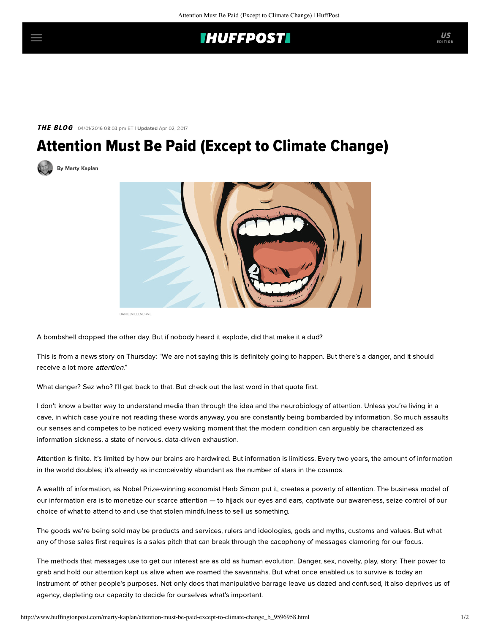## **IHUFFPOSTI**

### THE BLOG 04/01/2016 08:03 pm ET | Updated Apr 02, 2017

# Attention Must Be Paid (Except to Climate Change)

[By Marty Kaplan](http://www.huffingtonpost.com/author/marty-kaplan)



DANIELVILLENEUVE

A bombshell dropped the other day. But if nobody heard it explode, did that make it a dud?

This is [from a news story](http://www.nytimes.com/2016/03/31/science/global-warming-antarctica-ice-sheet-sea-level-rise.html?_r=0) on Thursday: "We are not saying this is definitely going to happen. But there's a danger, and it should receive a lot more attention."

What danger? Sez who? I'll get back to that. But check out the last word in that quote first.

I don't know a better way to understand media than through the idea and the neurobiology of attention. Unless you're living in a cave, in which case you're not reading these words anyway, you are constantly being bombarded by information. So much assaults our senses and competes to be noticed every waking moment that the modern condition can arguably be characterized as information sickness, a state of nervous, data-driven exhaustion.

Attention is finite. It's limited by how our brains are hardwired. But information is limitless. Every two years, the amount of information in the world doubles; it's already as inconceivably abundant as the number of stars in the cosmos.

A wealth of information, as Nobel Prize-winning economist Herb Simon put it, creates a poverty of attention. The business model of our information era is to monetize our scarce attention — to hijack our eyes and ears, captivate our awareness, seize control of our choice of what to attend to and use that stolen mindfulness to sell us something.

The goods we're being sold may be products and services, rulers and ideologies, gods and myths, customs and values. But what any of those sales first requires is a sales pitch that can break through the cacophony of messages clamoring for our focus.

The methods that messages use to get our interest are as old as human evolution. Danger, sex, novelty, play, story: Their power to grab and hold our attention kept us alive when we roamed the savannahs. But what once enabled us to survive is today an instrument of other people's purposes. Not only does that manipulative barrage leave us dazed and confused, it also deprives us of agency, depleting our capacity to decide for ourselves what's important.